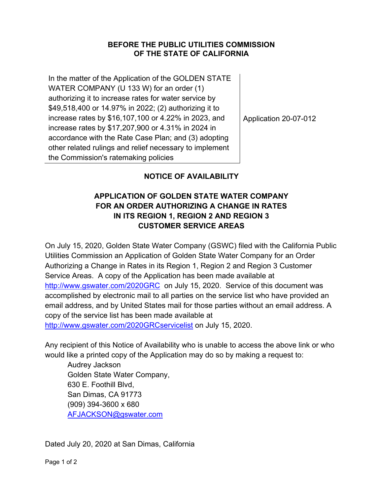## **BEFORE THE PUBLIC UTILITIES COMMISSION OF THE STATE OF CALIFORNIA**

In the matter of the Application of the GOLDEN STATE WATER COMPANY (U 133 W) for an order (1) authorizing it to increase rates for water service by \$49,518,400 or 14.97% in 2022; (2) authorizing it to increase rates by \$16,107,100 or 4.22% in 2023, and increase rates by \$17,207,900 or 4.31% in 2024 in accordance with the Rate Case Plan; and (3) adopting other related rulings and relief necessary to implement the Commission's ratemaking policies

Application 20-07-012

## **NOTICE OF AVAILABILITY**

## **APPLICATION OF GOLDEN STATE WATER COMPANY FOR AN ORDER AUTHORIZING A CHANGE IN RATES IN ITS REGION 1, REGION 2 AND REGION 3 CUSTOMER SERVICE AREAS**

On July 15, 2020, Golden State Water Company (GSWC) filed with the California Public Utilities Commission an Application of Golden State Water Company for an Order Authorizing a Change in Rates in its Region 1, Region 2 and Region 3 Customer Service Areas. A copy of the Application has been made available at http://www.gswater.com/2020GRC on July 15, 2020. Service of this document was accomplished by electronic mail to all parties on the service list who have provided an email address, and by United States mail for those parties without an email address. A copy of the service list has been made available at http://www.gswater.com/2020GRCservicelist on July 15, 2020.

Any recipient of this Notice of Availability who is unable to access the above link or who would like a printed copy of the Application may do so by making a request to:

Audrey Jackson Golden State Water Company, 630 E. Foothill Blvd, San Dimas, CA 91773 (909) 394-3600 x 680 AFJACKSON@gswater.com

Dated July 20, 2020 at San Dimas, California